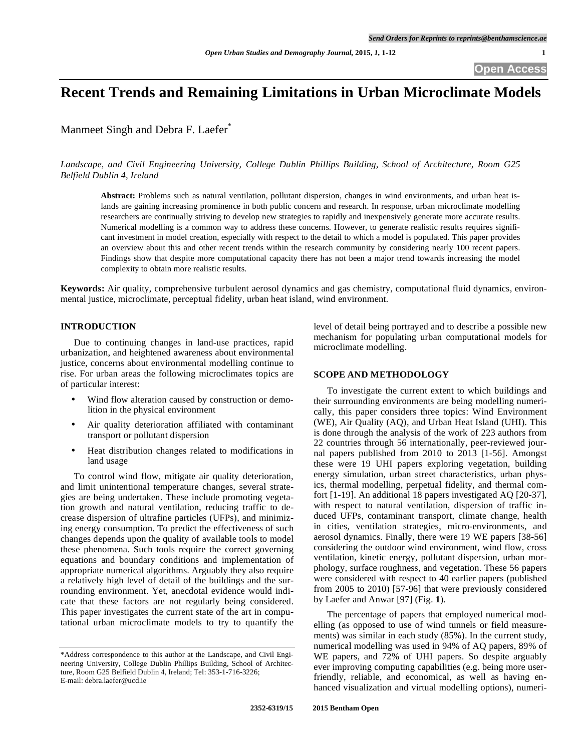# **Recent Trends and Remaining Limitations in Urban Microclimate Models**

Manmeet Singh and Debra F. Laefer<sup>\*</sup>

*Landscape, and Civil Engineering University, College Dublin Phillips Building, School of Architecture, Room G25 Belfield Dublin 4, Ireland* 

**Abstract:** Problems such as natural ventilation, pollutant dispersion, changes in wind environments, and urban heat islands are gaining increasing prominence in both public concern and research. In response, urban microclimate modelling researchers are continually striving to develop new strategies to rapidly and inexpensively generate more accurate results. Numerical modelling is a common way to address these concerns. However, to generate realistic results requires significant investment in model creation, especially with respect to the detail to which a model is populated. This paper provides an overview about this and other recent trends within the research community by considering nearly 100 recent papers. Findings show that despite more computational capacity there has not been a major trend towards increasing the model complexity to obtain more realistic results.

**Keywords:** Air quality, comprehensive turbulent aerosol dynamics and gas chemistry, computational fluid dynamics, environmental justice, microclimate, perceptual fidelity, urban heat island, wind environment.

#### **INTRODUCTION**

Due to continuing changes in land-use practices, rapid urbanization, and heightened awareness about environmental justice, concerns about environmental modelling continue to rise. For urban areas the following microclimates topics are of particular interest:

- Wind flow alteration caused by construction or demolition in the physical environment
- Air quality deterioration affiliated with contaminant transport or pollutant dispersion
- Heat distribution changes related to modifications in land usage

To control wind flow, mitigate air quality deterioration, and limit unintentional temperature changes, several strategies are being undertaken. These include promoting vegetation growth and natural ventilation, reducing traffic to decrease dispersion of ultrafine particles (UFPs), and minimizing energy consumption. To predict the effectiveness of such changes depends upon the quality of available tools to model these phenomena. Such tools require the correct governing equations and boundary conditions and implementation of appropriate numerical algorithms. Arguably they also require a relatively high level of detail of the buildings and the surrounding environment. Yet, anecdotal evidence would indicate that these factors are not regularly being considered. This paper investigates the current state of the art in computational urban microclimate models to try to quantify the

level of detail being portrayed and to describe a possible new mechanism for populating urban computational models for microclimate modelling.

#### **SCOPE AND METHODOLOGY**

To investigate the current extent to which buildings and their surrounding environments are being modelling numerically, this paper considers three topics: Wind Environment (WE), Air Quality (AQ), and Urban Heat Island (UHI). This is done through the analysis of the work of 223 authors from 22 countries through 56 internationally, peer-reviewed journal papers published from 2010 to 2013 [1-56]. Amongst these were 19 UHI papers exploring vegetation, building energy simulation, urban street characteristics, urban physics, thermal modelling, perpetual fidelity, and thermal comfort [1-19]. An additional 18 papers investigated AQ [20-37], with respect to natural ventilation, dispersion of traffic induced UFPs, contaminant transport, climate change, health in cities, ventilation strategies, micro-environments, and aerosol dynamics. Finally, there were 19 WE papers [38-56] considering the outdoor wind environment, wind flow, cross ventilation, kinetic energy, pollutant dispersion, urban morphology, surface roughness, and vegetation. These 56 papers were considered with respect to 40 earlier papers (published from 2005 to 2010) [57-96] that were previously considered by Laefer and Anwar [97] (Fig. **1**).

The percentage of papers that employed numerical modelling (as opposed to use of wind tunnels or field measurements) was similar in each study (85%). In the current study, numerical modelling was used in 94% of AQ papers, 89% of WE papers, and 72% of UHI papers. So despite arguably ever improving computing capabilities (e.g. being more userfriendly, reliable, and economical, as well as having enhanced visualization and virtual modelling options), numeri-

<sup>\*</sup>Address correspondence to this author at the Landscape, and Civil Engineering University, College Dublin Phillips Building, School of Architecture, Room G25 Belfield Dublin 4, Ireland; Tel: 353-1-716-3226; E-mail: debra.laefer@ucd.ie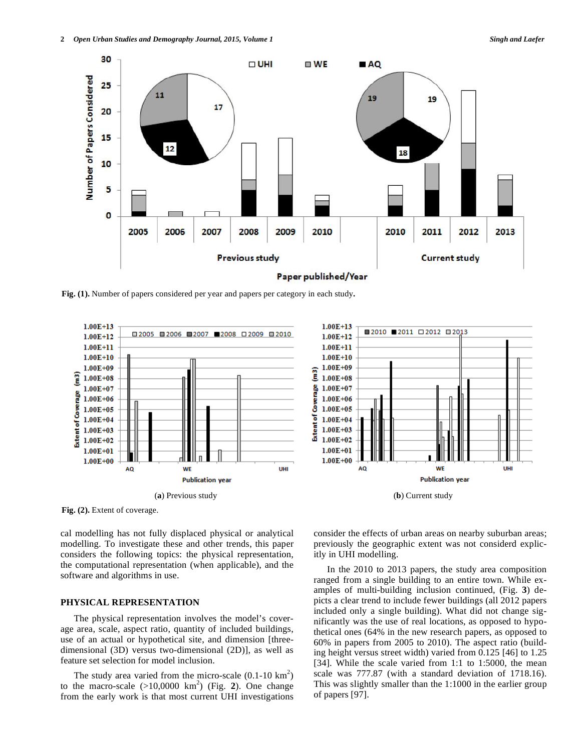

**Fig. (1).** Number of papers considered per year and papers per category in each study**.** 



Fig. (2). Extent of coverage.

cal modelling has not fully displaced physical or analytical modelling. To investigate these and other trends, this paper considers the following topics: the physical representation, the computational representation (when applicable), and the software and algorithms in use.

#### **PHYSICAL REPRESENTATION**

The physical representation involves the model's coverage area, scale, aspect ratio, quantity of included buildings, use of an actual or hypothetical site, and dimension [threedimensional (3D) versus two-dimensional (2D)], as well as feature set selection for model inclusion.

The study area varied from the micro-scale  $(0.1\n-10 \text{ km}^2)$ to the macro-scale  $(>10,0000 \text{ km}^2)$  (Fig. 2). One change from the early work is that most current UHI investigations



consider the effects of urban areas on nearby suburban areas; previously the geographic extent was not considerd explicitly in UHI modelling.

In the 2010 to 2013 papers, the study area composition ranged from a single building to an entire town. While examples of multi-building inclusion continued, (Fig. **3**) depicts a clear trend to include fewer buildings (all 2012 papers included only a single building). What did not change significantly was the use of real locations, as opposed to hypothetical ones (64% in the new research papers, as opposed to 60% in papers from 2005 to 2010). The aspect ratio (building height versus street width) varied from 0.125 [46] to 1.25 [34]. While the scale varied from 1:1 to 1:5000, the mean scale was 777.87 (with a standard deviation of 1718.16). This was slightly smaller than the 1:1000 in the earlier group of papers [97].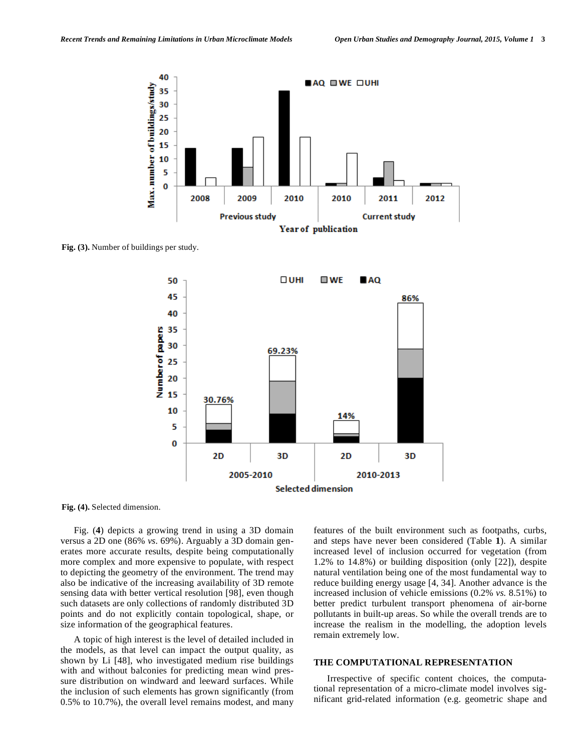

**Fig. (3).** Number of buildings per study.



**Fig. (4).** Selected dimension.

Fig. (**4**) depicts a growing trend in using a 3D domain versus a 2D one (86% *vs.* 69%). Arguably a 3D domain generates more accurate results, despite being computationally more complex and more expensive to populate, with respect to depicting the geometry of the environment. The trend may also be indicative of the increasing availability of 3D remote sensing data with better vertical resolution [98], even though such datasets are only collections of randomly distributed 3D points and do not explicitly contain topological, shape, or size information of the geographical features.

A topic of high interest is the level of detailed included in the models, as that level can impact the output quality, as shown by Li [48], who investigated medium rise buildings with and without balconies for predicting mean wind pressure distribution on windward and leeward surfaces. While the inclusion of such elements has grown significantly (from 0.5% to 10.7%), the overall level remains modest, and many features of the built environment such as footpaths, curbs, and steps have never been considered (Table **1**). A similar increased level of inclusion occurred for vegetation (from 1.2% to 14.8%) or building disposition (only [22]), despite natural ventilation being one of the most fundamental way to reduce building energy usage [4, 34]. Another advance is the increased inclusion of vehicle emissions (0.2% *vs.* 8.51%) to better predict turbulent transport phenomena of air-borne pollutants in built-up areas. So while the overall trends are to increase the realism in the modelling, the adoption levels remain extremely low.

### **THE COMPUTATIONAL REPRESENTATION**

Irrespective of specific content choices, the computational representation of a micro-climate model involves significant grid-related information (e.g. geometric shape and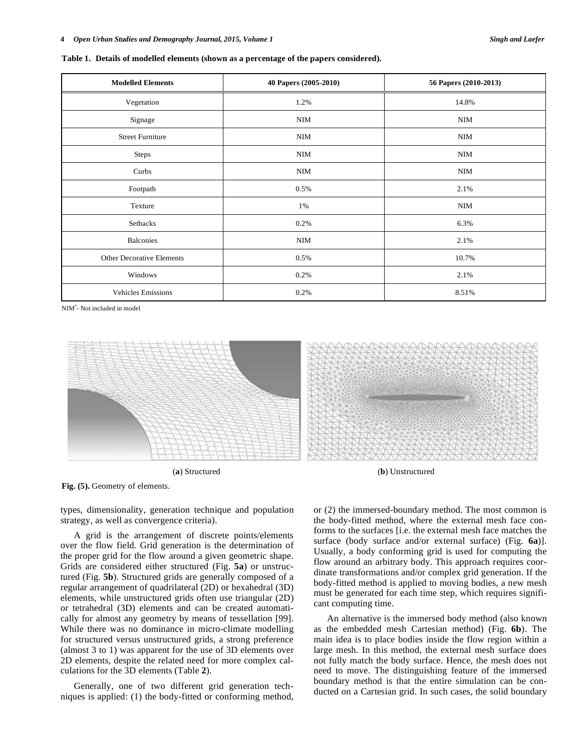**Table 1. Details of modelled elements (shown as a percentage of the papers considered).** 

| <b>Modelled Elements</b>  | 40 Papers (2005-2010) | 56 Papers (2010-2013) |
|---------------------------|-----------------------|-----------------------|
| Vegetation                | 1.2%                  | 14.8%                 |
| Signage                   | NIM                   | NIM                   |
| <b>Street Furniture</b>   | NIM                   | NIM                   |
| Steps                     | NIM                   | NIM                   |
| Curbs                     | NIM                   | NIM                   |
| Footpath                  | 0.5%                  | 2.1%                  |
| Texture                   | 1%                    | NIM                   |
| Setbacks                  | 0.2%                  | 6.3%                  |
| <b>Balconies</b>          | <b>NIM</b>            | 2.1%                  |
| Other Decorative Elements | 0.5%                  | 10.7%                 |
| Windows                   | 0.2%                  | 2.1%                  |
| <b>Vehicles Emissions</b> | 0.2%                  | 8.51%                 |

NIM\* - Not included in model



Fig. (5). Geometry of elements.

types, dimensionality, generation technique and population strategy, as well as convergence criteria).

A grid is the arrangement of discrete points/elements over the flow field. Grid generation is the determination of the proper grid for the flow around a given geometric shape. Grids are considered either structured (Fig. **5a**) or unstructured (Fig. **5b**). Structured grids are generally composed of a regular arrangement of quadrilateral (2D) or hexahedral (3D) elements, while unstructured grids often use triangular (2D) or tetrahedral (3D) elements and can be created automatically for almost any geometry by means of tessellation [99]. While there was no dominance in micro-climate modelling for structured versus unstructured grids, a strong preference (almost 3 to 1) was apparent for the use of 3D elements over 2D elements, despite the related need for more complex calculations for the 3D elements (Table **2**).

Generally, one of two different grid generation techniques is applied: (1) the body-fitted or conforming method, or (2) the immersed-boundary method. The most common is the body-fitted method, where the external mesh face conforms to the surfaces [i.e. the external mesh face matches the surface (body surface and/or external surface) (Fig. **6a**)]. Usually, a body conforming grid is used for computing the flow around an arbitrary body. This approach requires coordinate transformations and/or complex grid generation. If the body-fitted method is applied to moving bodies, a new mesh must be generated for each time step, which requires significant computing time.

An alternative is the immersed body method (also known as the embedded mesh Cartesian method) (Fig. **6b**). The main idea is to place bodies inside the flow region within a large mesh. In this method, the external mesh surface does not fully match the body surface. Hence, the mesh does not need to move. The distinguishing feature of the immersed boundary method is that the entire simulation can be conducted on a Cartesian grid. In such cases, the solid boundary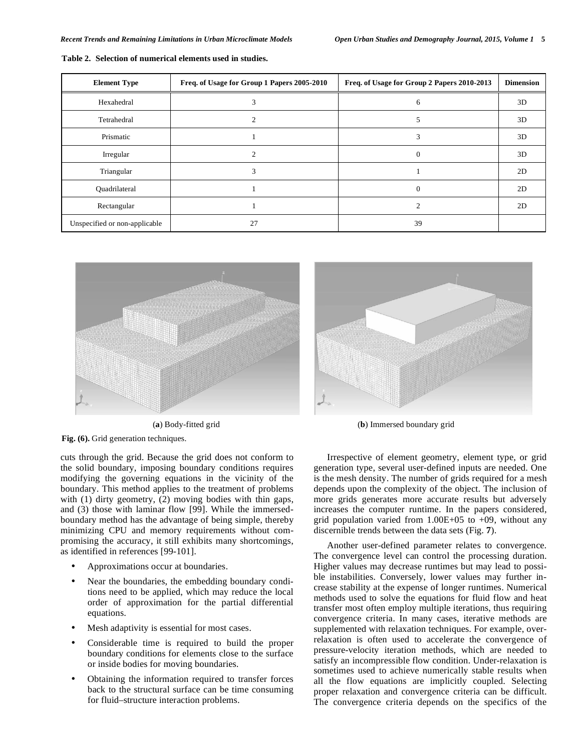| <b>Element Type</b>           | Freq. of Usage for Group 1 Papers 2005-2010 | Freq. of Usage for Group 2 Papers 2010-2013 | <b>Dimension</b> |
|-------------------------------|---------------------------------------------|---------------------------------------------|------------------|
| Hexahedral                    | 3                                           | 6                                           | 3D               |
| Tetrahedral                   | $\bigcap$                                   |                                             | 3D               |
| Prismatic                     |                                             | 3                                           | 3D               |
| Irregular                     | $\mathcal{D}$                               |                                             | 3D               |
| Triangular                    | Р                                           |                                             | 2D               |
| Quadrilateral                 |                                             |                                             | 2D               |
| Rectangular                   |                                             |                                             | 2D               |
| Unspecified or non-applicable | 27                                          | 39                                          |                  |

**Table 2. Selection of numerical elements used in studies.** 



**Fig. (6).** Grid generation techniques.

cuts through the grid. Because the grid does not conform to the solid boundary, imposing boundary conditions requires modifying the governing equations in the vicinity of the boundary. This method applies to the treatment of problems with (1) dirty geometry, (2) moving bodies with thin gaps, and (3) those with laminar flow [99]. While the immersedboundary method has the advantage of being simple, thereby minimizing CPU and memory requirements without compromising the accuracy, it still exhibits many shortcomings, as identified in references [99-101].

- Approximations occur at boundaries.
- Near the boundaries, the embedding boundary conditions need to be applied, which may reduce the local order of approximation for the partial differential equations.
- Mesh adaptivity is essential for most cases.
- Considerable time is required to build the proper boundary conditions for elements close to the surface or inside bodies for moving boundaries.
- Obtaining the information required to transfer forces back to the structural surface can be time consuming for fluid–structure interaction problems.



(**a**) Body-fitted grid (**b**) Immersed boundary grid

Irrespective of element geometry, element type, or grid generation type, several user-defined inputs are needed. One is the mesh density. The number of grids required for a mesh depends upon the complexity of the object. The inclusion of more grids generates more accurate results but adversely increases the computer runtime. In the papers considered, grid population varied from  $1.00E+05$  to  $+09$ , without any discernible trends between the data sets (Fig. **7**).

Another user-defined parameter relates to convergence. The convergence level can control the processing duration. Higher values may decrease runtimes but may lead to possible instabilities. Conversely, lower values may further increase stability at the expense of longer runtimes. Numerical methods used to solve the equations for fluid flow and heat transfer most often employ multiple iterations, thus requiring convergence criteria. In many cases, iterative methods are supplemented with relaxation techniques. For example, overrelaxation is often used to accelerate the convergence of pressure-velocity iteration methods, which are needed to satisfy an incompressible flow condition. Under-relaxation is sometimes used to achieve numerically stable results when all the flow equations are implicitly coupled. Selecting proper relaxation and convergence criteria can be difficult. The convergence criteria depends on the specifics of the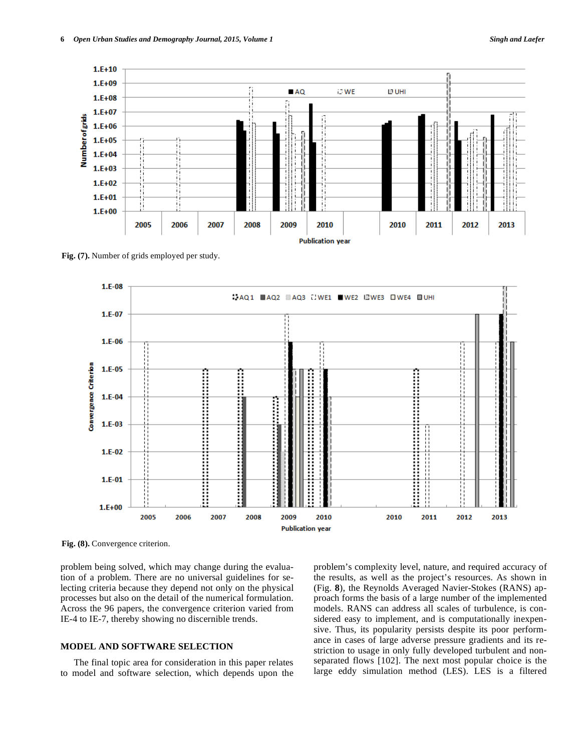

**Fig. (7).** Number of grids employed per study.



Fig. (8). Convergence criterion.

problem being solved, which may change during the evaluation of a problem. There are no universal guidelines for selecting criteria because they depend not only on the physical processes but also on the detail of the numerical formulation. Across the 96 papers, the convergence criterion varied from IE-4 to IE-7, thereby showing no discernible trends.

## **MODEL AND SOFTWARE SELECTION**

The final topic area for consideration in this paper relates to model and software selection, which depends upon the problem's complexity level, nature, and required accuracy of the results, as well as the project's resources. As shown in (Fig. **8**), the Reynolds Averaged Navier-Stokes (RANS) approach forms the basis of a large number of the implemented models. RANS can address all scales of turbulence, is considered easy to implement, and is computationally inexpensive. Thus, its popularity persists despite its poor performance in cases of large adverse pressure gradients and its restriction to usage in only fully developed turbulent and nonseparated flows [102]. The next most popular choice is the large eddy simulation method (LES). LES is a filtered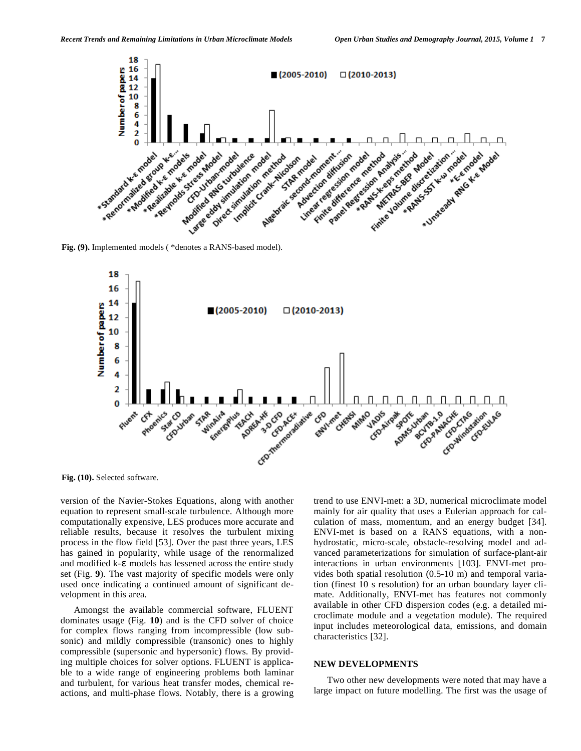



**Fig. (10).** Selected software.

version of the Navier-Stokes Equations, along with another equation to represent small-scale turbulence. Although more computationally expensive, LES produces more accurate and reliable results, because it resolves the turbulent mixing process in the flow field [53]. Over the past three years, LES has gained in popularity, while usage of the renormalized and modified  $k$ - $\varepsilon$  models has lessened across the entire study set (Fig. **9**). The vast majority of specific models were only used once indicating a continued amount of significant development in this area.

Amongst the available commercial software, FLUENT dominates usage (Fig. **10**) and is the CFD solver of choice for complex flows ranging from incompressible (low subsonic) and mildly compressible (transonic) ones to highly compressible (supersonic and hypersonic) flows. By providing multiple choices for solver options. FLUENT is applicable to a wide range of engineering problems both laminar and turbulent, for various heat transfer modes, chemical reactions, and multi-phase flows. Notably, there is a growing trend to use ENVI-met: a 3D, numerical microclimate model mainly for air quality that uses a Eulerian approach for calculation of mass, momentum, and an energy budget [34]. ENVI-met is based on a RANS equations, with a nonhydrostatic, micro-scale, obstacle-resolving model and advanced parameterizations for simulation of surface-plant-air interactions in urban environments [103]. ENVI-met provides both spatial resolution (0.5-10 m) and temporal variation (finest 10 s resolution) for an urban boundary layer climate. Additionally, ENVI-met has features not commonly available in other CFD dispersion codes (e.g. a detailed microclimate module and a vegetation module). The required input includes meteorological data, emissions, and domain characteristics [32].

#### **NEW DEVELOPMENTS**

Two other new developments were noted that may have a large impact on future modelling. The first was the usage of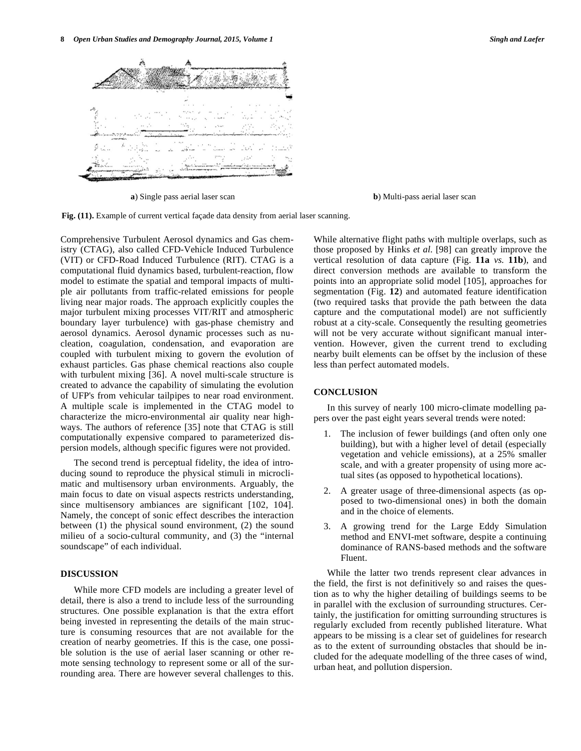

**a**) Single pass aerial laser scan **b**) Multi-pass aerial laser scan

**Fig. (11).** Example of current vertical façade data density from aerial laser scanning.

Comprehensive Turbulent Aerosol dynamics and Gas chemistry (CTAG), also called CFD-Vehicle Induced Turbulence (VIT) or CFD-Road Induced Turbulence (RIT). CTAG is a computational fluid dynamics based, turbulent-reaction, flow model to estimate the spatial and temporal impacts of multiple air pollutants from traffic-related emissions for people living near major roads. The approach explicitly couples the major turbulent mixing processes VIT/RIT and atmospheric boundary layer turbulence) with gas-phase chemistry and aerosol dynamics. Aerosol dynamic processes such as nucleation, coagulation, condensation, and evaporation are coupled with turbulent mixing to govern the evolution of exhaust particles. Gas phase chemical reactions also couple with turbulent mixing [36]. A novel multi-scale structure is created to advance the capability of simulating the evolution of UFP's from vehicular tailpipes to near road environment. A multiple scale is implemented in the CTAG model to characterize the micro-environmental air quality near highways. The authors of reference [35] note that CTAG is still computationally expensive compared to parameterized dispersion models, although specific figures were not provided.

The second trend is perceptual fidelity, the idea of introducing sound to reproduce the physical stimuli in microclimatic and multisensory urban environments. Arguably, the main focus to date on visual aspects restricts understanding, since multisensory ambiances are significant [102, 104]. Namely, the concept of sonic effect describes the interaction between (1) the physical sound environment, (2) the sound milieu of a socio-cultural community, and (3) the "internal soundscape" of each individual.

# **DISCUSSION**

While more CFD models are including a greater level of detail, there is also a trend to include less of the surrounding structures. One possible explanation is that the extra effort being invested in representing the details of the main structure is consuming resources that are not available for the creation of nearby geometries. If this is the case, one possible solution is the use of aerial laser scanning or other remote sensing technology to represent some or all of the surrounding area. There are however several challenges to this. While alternative flight paths with multiple overlaps, such as those proposed by Hinks *et al*. [98] can greatly improve the vertical resolution of data capture (Fig. **11a** *vs.* **11b**), and direct conversion methods are available to transform the points into an appropriate solid model [105], approaches for segmentation (Fig. **12**) and automated feature identification (two required tasks that provide the path between the data capture and the computational model) are not sufficiently robust at a city-scale. Consequently the resulting geometries will not be very accurate without significant manual intervention. However, given the current trend to excluding nearby built elements can be offset by the inclusion of these less than perfect automated models.

#### **CONCLUSION**

In this survey of nearly 100 micro-climate modelling papers over the past eight years several trends were noted:

- 1. The inclusion of fewer buildings (and often only one building), but with a higher level of detail (especially vegetation and vehicle emissions), at a 25% smaller scale, and with a greater propensity of using more actual sites (as opposed to hypothetical locations).
- 2. A greater usage of three-dimensional aspects (as opposed to two-dimensional ones) in both the domain and in the choice of elements.
- 3. A growing trend for the Large Eddy Simulation method and ENVI-met software, despite a continuing dominance of RANS-based methods and the software Fluent.

While the latter two trends represent clear advances in the field, the first is not definitively so and raises the question as to why the higher detailing of buildings seems to be in parallel with the exclusion of surrounding structures. Certainly, the justification for omitting surrounding structures is regularly excluded from recently published literature. What appears to be missing is a clear set of guidelines for research as to the extent of surrounding obstacles that should be included for the adequate modelling of the three cases of wind, urban heat, and pollution dispersion.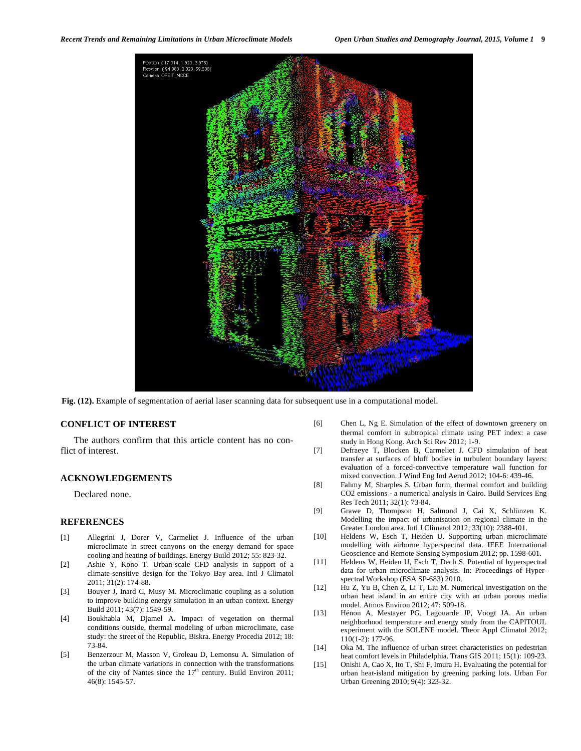*Recent Trends and Remaining Limitations in Urban Microclimate Models Open Urban Studies and Demography Journal, 2015, Volume 1* **9**



**Fig. (12).** Example of segmentation of aerial laser scanning data for subsequent use in a computational model.

#### **CONFLICT OF INTEREST**

The authors confirm that this article content has no conflict of interest.

#### **ACKNOWLEDGEMENTS**

Declared none.

### **REFERENCES**

- [1] Allegrini J, Dorer V, Carmeliet J. Influence of the urban microclimate in street canyons on the energy demand for space cooling and heating of buildings. Energy Build 2012; 55: 823-32.
- [2] Ashie Y, Kono T. Urban-scale CFD analysis in support of a climate-sensitive design for the Tokyo Bay area. Intl J Climatol 2011; 31(2): 174-88.
- [3] Bouyer J, Inard C, Musy M. Microclimatic coupling as a solution to improve building energy simulation in an urban context. Energy Build 2011; 43(7): 1549-59.
- [4] Boukhabla M, Djamel A. Impact of vegetation on thermal conditions outside, thermal modeling of urban microclimate, case study: the street of the Republic, Biskra. Energy Procedia 2012; 18: 73-84.
- [5] Benzerzour M, Masson V, Groleau D, Lemonsu A. Simulation of the urban climate variations in connection with the transformations of the city of Nantes since the  $17<sup>th</sup>$  century. Build Environ 2011; 46(8): 1545-57.
- [6] Chen L, Ng E. Simulation of the effect of downtown greenery on thermal comfort in subtropical climate using PET index: a case study in Hong Kong. Arch Sci Rev 2012; 1-9.
- [7] Defraeye T, Blocken B, Carmeliet J. CFD simulation of heat transfer at surfaces of bluff bodies in turbulent boundary layers: evaluation of a forced-convective temperature wall function for mixed convection. J Wind Eng Ind Aerod 2012; 104-6: 439-46.
- [8] Fahmy M, Sharples S. Urban form, thermal comfort and building CO2 emissions - a numerical analysis in Cairo. Build Services Eng Res Tech 2011; 32(1): 73-84.
- [9] Grawe D, Thompson H, Salmond J, Cai X, Schlünzen K. Modelling the impact of urbanisation on regional climate in the Greater London area. Intl J Climatol 2012; 33(10): 2388-401.
- [10] Heldens W, Esch T, Heiden U. Supporting urban microclimate modelling with airborne hyperspectral data. IEEE International Geoscience and Remote Sensing Symposium 2012; pp. 1598-601.
- [11] Heldens W, Heiden U, Esch T, Dech S. Potential of hyperspectral data for urban microclimate analysis. In: Proceedings of Hyperspectral Workshop (ESA SP-683) 2010.
- [12] Hu Z, Yu B, Chen Z, Li T, Liu M. Numerical investigation on the urban heat island in an entire city with an urban porous media model. Atmos Environ 2012; 47: 509-18.
- [13] Hénon A, Mestayer PG, Lagouarde JP, Voogt JA. An urban neighborhood temperature and energy study from the CAPITOUL experiment with the SOLENE model. Theor Appl Climatol 2012; 110(1-2): 177-96.
- [14] Oka M. The influence of urban street characteristics on pedestrian heat comfort levels in Philadelphia. Trans GIS 2011; 15(1): 109-23.
- [15] Onishi A, Cao X, Ito T, Shi F, Imura H. Evaluating the potential for urban heat-island mitigation by greening parking lots. Urban For Urban Greening 2010; 9(4): 323-32.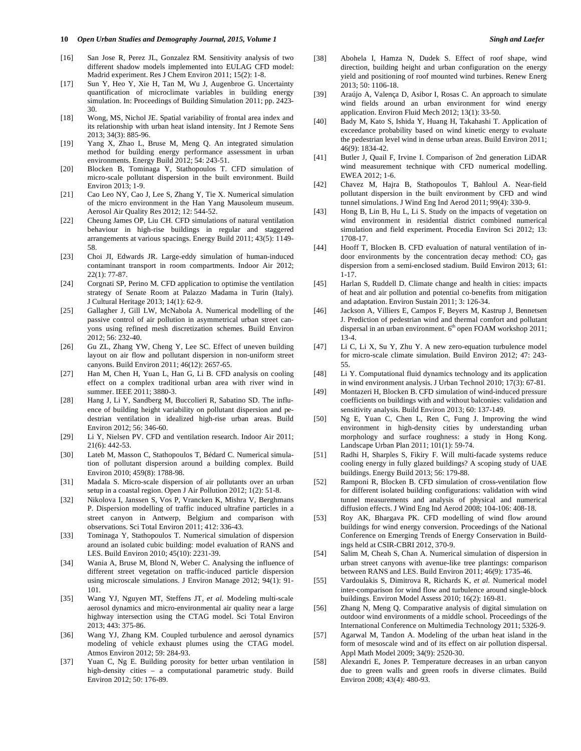- [16] San Jose R, Perez JL, Gonzalez RM. Sensitivity analysis of two different shadow models implemented into EULAG CFD model: Madrid experiment. Res J Chem Environ 2011; 15(2): 1-8.
- [17] Sun Y, Heo Y, Xie H, Tan M, Wu J, Augenbroe G. Uncertainty quantification of microclimate variables in building energy simulation. In: Proceedings of Building Simulation 2011; pp. 2423- 30.
- [18] Wong, MS, Nichol JE. Spatial variability of frontal area index and its relationship with urban heat island intensity. Int J Remote Sens 2013; 34(3): 885-96.
- [19] Yang X, Zhao L, Bruse M, Meng Q. An integrated simulation method for building energy performance assessment in urban environments. Energy Build 2012; 54: 243-51.
- [20] Blocken B, Tominaga Y, Stathopoulos T. CFD simulation of micro-scale pollutant dispersion in the built environment. Build Environ 2013; 1-9.
- [21] Cao Leo NY, Cao J, Lee S, Zhang Y, Tie X. Numerical simulation of the micro environment in the Han Yang Mausoleum museum. Aerosol Air Quality Res 2012; 12: 544-52.
- [22] Cheung James OP, Liu CH. CFD simulations of natural ventilation behaviour in high-rise buildings in regular and staggered arrangements at various spacings. Energy Build 2011; 43(5): 1149- 58.
- [23] Choi JI, Edwards JR. Large-eddy simulation of human-induced contaminant transport in room compartments. Indoor Air 2012; 22(1): 77-87.
- [24] Corgnati SP, Perino M. CFD application to optimise the ventilation strategy of Senate Room at Palazzo Madama in Turin (Italy). J Cultural Heritage 2013; 14(1): 62-9.
- [25] Gallagher J, Gill LW, McNabola A. Numerical modelling of the passive control of air pollution in asymmetrical urban street canyons using refined mesh discretization schemes. Build Environ 2012; 56: 232-40.
- [26] Gu ZL, Zhang YW, Cheng Y, Lee SC. Effect of uneven building layout on air flow and pollutant dispersion in non-uniform street canyons. Build Environ 2011; 46(12): 2657-65.
- [27] Han M, Chen H, Yuan L, Han G, Li B. CFD analysis on cooling effect on a complex traditional urban area with river wind in summer. IEEE 2011; 3880-3.
- [28] Hang J, Li Y, Sandberg M, Buccolieri R, Sabatino SD. The influence of building height variability on pollutant dispersion and pedestrian ventilation in idealized high-rise urban areas. Build Environ 2012; 56: 346-60.
- [29] Li Y, Nielsen PV. CFD and ventilation research. Indoor Air 2011; 21(6): 442-53.
- [30] Lateb M, Masson C, Stathopoulos T, Bédard C. Numerical simulation of pollutant dispersion around a building complex. Build Environ 2010; 459(8): 1788-98.
- [31] Madala S. Micro-scale dispersion of air pollutants over an urban setup in a coastal region. Open J Air Pollution 2012; 1(2): 51-8.
- [32] Nikolova I, Janssen S, Vos P, Vrancken K, Mishra V, Berghmans P. Dispersion modelling of traffic induced ultrafine particles in a street canyon in Antwerp, Belgium and comparison with observations. Sci Total Environ 2011; 412: 336-43.
- [33] Tominaga Y, Stathopoulos T. Numerical simulation of dispersion around an isolated cubic building: model evaluation of RANS and LES. Build Environ 2010; 45(10): 2231-39.
- [34] Wania A, Bruse M, Blond N, Weber C. Analysing the influence of different street vegetation on traffic-induced particle dispersion using microscale simulations. J Environ Manage 2012; 94(1): 91- 101.
- [35] Wang YJ, Nguyen MT, Steffens JT, *et al.* Modeling multi-scale aerosol dynamics and micro-environmental air quality near a large highway intersection using the CTAG model. Sci Total Environ 2013; 443: 375-86.
- [36] Wang YJ, Zhang KM. Coupled turbulence and aerosol dynamics modeling of vehicle exhaust plumes using the CTAG model. Atmos Environ 2012; 59: 284-93.
- [37] Yuan C, Ng E. Building porosity for better urban ventilation in high-density cities – a computational parametric study. Build Environ 2012; 50: 176-89.
- [38] Abohela I, Hamza N, Dudek S. Effect of roof shape, wind direction, building height and urban configuration on the energy yield and positioning of roof mounted wind turbines. Renew Energ 2013; 50: 1106-18.
- [39] Araújo A, Valença D, Asibor I, Rosas C. An approach to simulate wind fields around an urban environment for wind energy application. Environ Fluid Mech 2012; 13(1): 33-50.
- [40] Bady M, Kato S, Ishida Y, Huang H, Takahashi T. Application of exceedance probability based on wind kinetic energy to evaluate the pedestrian level wind in dense urban areas. Build Environ 2011; 46(9): 1834-42.
- [41] Butler J, Quail F, Irvine I. Comparison of 2nd generation LiDAR wind measurement technique with CFD numerical modelling. EWEA 2012; 1-6.
- [42] Chavez M, Hajra B, Stathopoulos T, Bahloul A. Near-field pollutant dispersion in the built environment by CFD and wind tunnel simulations. J Wind Eng Ind Aerod 2011; 99(4): 330-9.
- [43] Hong B, Lin B, Hu L, Li S. Study on the impacts of vegetation on wind environment in residential district combined numerical simulation and field experiment. Procedia Environ Sci 2012; 13: 1708-17.
- [44] Hooff T, Blocken B. CFD evaluation of natural ventilation of indoor environments by the concentration decay method:  $CO<sub>2</sub>$  gas dispersion from a semi-enclosed stadium. Build Environ 2013; 61: 1-17.
- [45] Harlan S, Ruddell D. Climate change and health in cities: impacts of heat and air pollution and potential co-benefits from mitigation and adaptation. Environ Sustain 2011; 3: 126-34.
- [46] Jackson A, Villiers E, Campos F, Beyers M, Kastrup J, Bennetsen J. Prediction of pedestrian wind and thermal comfort and pollutant dispersal in an urban environment.  $6^{\rm th}$ open FOAM workshop 2011; 13-4.
- [47] Li C, Li X, Su Y, Zhu Y. A new zero-equation turbulence model for micro-scale climate simulation. Build Environ 2012; 47: 243- 55.
- [48] Li Y. Computational fluid dynamics technology and its application in wind environment analysis. J Urban Technol 2010; 17(3): 67-81.
- [49] Montazeri H, Blocken B. CFD simulation of wind-induced pressure coefficients on buildings with and without balconies: validation and sensitivity analysis. Build Environ 2013; 60: 137-149.
- [50] Ng E, Yuan C, Chen L, Ren C, Fung J. Improving the wind environment in high-density cities by understanding urban morphology and surface roughness: a study in Hong Kong. Landscape Urban Plan 2011; 101(1): 59-74.
- [51] Radhi H, Sharples S, Fikiry F. Will multi-facade systems reduce cooling energy in fully glazed buildings? A scoping study of UAE buildings. Energy Build 2013; 56: 179-88.
- [52] Ramponi R, Blocken B. CFD simulation of cross-ventilation flow for different isolated building configurations: validation with wind tunnel measurements and analysis of physical and numerical diffusion effects. J Wind Eng Ind Aerod 2008; 104-106: 408-18.
- [53] Roy AK, Bhargava PK. CFD modelling of wind flow around buildings for wind energy conversion. Proceedings of the National Conference on Emerging Trends of Energy Conservation in Buildings held at CSIR-CBRI 2012, 370-9.
- [54] Salim M, Cheah S, Chan A. Numerical simulation of dispersion in urban street canyons with avenue-like tree plantings: comparison between RANS and LES. Build Environ 2011; 46(9): 1735-46.
- [55] Vardoulakis S, Dimitrova R, Richards K, *et al.* Numerical model inter-comparison for wind flow and turbulence around single-block buildings. Environ Model Assess 2010; 16(2): 169-81.
- [56] Zhang N, Meng Q. Comparative analysis of digital simulation on outdoor wind environments of a middle school. Proceedings of the International Conference on Multimedia Technology 2011; 5326-9.
- [57] Agarwal M, Tandon A. Modeling of the urban heat island in the form of mesoscale wind and of its effect on air pollution dispersal. Appl Math Model 2009; 34(9): 2520-30.
- [58] Alexandri E, Jones P. Temperature decreases in an urban canyon due to green walls and green roofs in diverse climates. Build Environ 2008; 43(4): 480-93.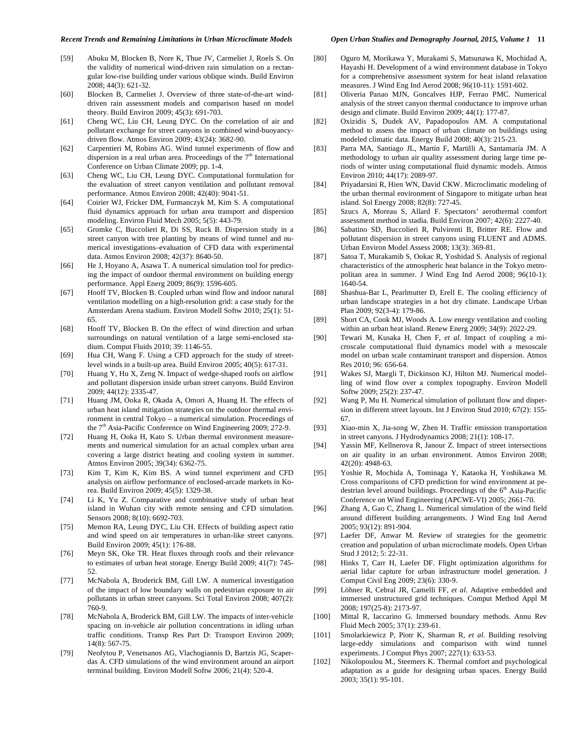#### *Recent Trends and Remaining Limitations in Urban Microclimate Models Open Urban Studies and Demography Journal, 2015, Volume 1* **11**

- [59] Abuku M, Blocken B, Nore K, Thue JV, Carmeliet J, Roels S. On the validity of numerical wind-driven rain simulation on a rectangular low-rise building under various oblique winds. Build Environ 2008; 44(3): 621-32.
- [60] Blocken B, Carmeliet J. Overview of three state-of-the-art winddriven rain assessment models and comparison based on model theory. Build Environ 2009; 45(3): 691-703.
- [61] Cheng WC, Liu CH, Leung DYC. On the correlation of air and pollutant exchange for street canyons in combined wind-buoyancydriven flow. Atmos Environ 2009; 43(24): 3682-90.
- [62] Carpentieri M, Robins AG. Wind tunnel experiments of flow and dispersion in a real urban area. Proceedings of the  $7<sup>th</sup>$  International Conference on Urban Climate 2009; pp. 1-4.
- [63] Cheng WC, Liu CH, Leung DYC. Computational formulation for the evaluation of street canyon ventilation and pollutant removal performance. Atmos Environ 2008; 42(40): 9041-51.
- [64] Coirier WJ, Fricker DM, Furmanczyk M, Kim S. A computational fluid dynamics approach for urban area transport and dispersion modeling. Environ Fluid Mech 2005; 5(5): 443-79.
- [65] Gromke C, Buccolieri R, Di SS, Ruck B. Dispersion study in a street canyon with tree planting by means of wind tunnel and numerical investigations–evaluation of CFD data with experimental data. Atmos Environ 2008; 42(37): 8640-50.
- [66] He J, Hoyano A, Asawa T. A numerical simulation tool for predicting the impact of outdoor thermal environment on building energy performance. Appl Energ 2009; 86(9): 1596-605.
- [67] Hooff TV, Blocken B. Coupled urban wind flow and indoor natural ventilation modelling on a high-resolution grid: a case study for the Amsterdam Arena stadium. Environ Modell Softw 2010; 25(1): 51- 65.
- [68] Hooff TV, Blocken B. On the effect of wind direction and urban surroundings on natural ventilation of a large semi-enclosed stadium. Comput Fluids 2010; 39: 1146-55.
- [69] Hua CH, Wang F. Using a CFD approach for the study of streetlevel winds in a built-up area. Build Environ 2005; 40(5): 617-31.
- [70] Huang Y, Hu X, Zeng N. Impact of wedge-shaped roofs on airflow and pollutant dispersion inside urban street canyons. Build Environ 2009; 44(12): 2335-47.
- [71] Huang JM, Ooka R, Okada A, Omori A, Huang H. The effects of urban heat island mitigation strategies on the outdoor thermal environment in central Tokyo – a numerical simulation. Proceedings of the 7<sup>th</sup> Asia-Pacific Conference on Wind Engineering 2009; 272-9.
- [72] Huang H, Ooka H, Kato S. Urban thermal environment measurements and numerical simulation for an actual complex urban area covering a large district heating and cooling system in summer. Atmos Environ 2005; 39(34): 6362-75.
- [73] Kim T, Kim K, Kim BS. A wind tunnel experiment and CFD analysis on airflow performance of enclosed-arcade markets in Korea. Build Environ 2009; 45(5): 1329-38.
- [74] Li K, Yu Z. Comparative and combinative study of urban heat island in Wuhan city with remote sensing and CFD simulation. Sensors 2008; 8(10): 6692-703.
- [75] Memon RA, Leung DYC, Liu CH. Effects of building aspect ratio and wind speed on air temperatures in urban-like street canyons. Build Environ 2009; 45(1): 176-88.
- [76] Meyn SK, Oke TR. Heat fluxes through roofs and their relevance to estimates of urban heat storage. Energy Build 2009; 41(7): 745- 52.
- [77] McNabola A, Broderick BM, Gill LW. A numerical investigation of the impact of low boundary walls on pedestrian exposure to air pollutants in urban street canyons. Sci Total Environ 2008; 407(2): 760-9.
- [78] McNabola A, Broderick BM, Gill LW. The impacts of inter-vehicle spacing on in-vehicle air pollution concentrations in idling urban traffic conditions. Transp Res Part D: Transport Environ 2009; 14(8): 567-75.
- [79] Neofytou P, Venetsanos AG, Vlachogiannis D, Bartzis JG, Scaperdas A. CFD simulations of the wind environment around an airport terminal building. Environ Modell Softw 2006; 21(4): 520-4.
- [80] Oguro M, Morikawa Y, Murakami S, Matsunawa K, Mochidad A, Hayashi H. Development of a wind environment database in Tokyo for a comprehensive assessment system for heat island relaxation measures. J Wind Eng Ind Aerod 2008; 96(10-11): 1591-602.
- [81] Oliveria Panao MJN, Goncalves HJP, Ferrao PMC. Numerical analysis of the street canyon thermal conductance to improve urban design and climate. Build Environ 2009; 44(1): 177-87.
- [82] Oxizidis S, Dudek AV, Papadopoulos AM. A computational method to assess the impact of urban climate on buildings using modeled climatic data. Energy Build 2008; 40(3): 215-23.
- [83] Parra MA, Santiago JL, Martín F, Martilli A, Santamaría JM. A methodology to urban air quality assessment during large time periods of winter using computational fluid dynamic models. Atmos Environ 2010; 44(17): 2089-97.
- [84] Priyadarsini R, Hien WN, David CKW. Microclimatic modeling of the urban thermal environment of Singapore to mitigate urban heat island. Sol Energy 2008; 82(8): 727-45.
- [85] Szucs A, Moreau S, Allard F. Spectators' aerothermal comfort assessment method in stadia. Build Environ 2007; 42(6): 2227-40.
- [86] Sabatino SD, Buccolieri R, Pulvirenti B, Britter RE. Flow and pollutant dispersion in street canyons using FLUENT and ADMS. Urban Environ Model Assess 2008; 13(3): 369-81.
- [87] Satoa T, Murakamib S, Ookac R, Yoshidad S. Analysis of regional characteristics of the atmospheric heat balance in the Tokyo metropolitan area in summer. J Wind Eng Ind Aerod 2008; 96(10-1): 1640-54.
- [88] Shashua-Bar L, Pearlmutter D, Erell E. The cooling efficiency of urban landscape strategies in a hot dry climate. Landscape Urban Plan 2009; 92(3-4): 179-86.
- [89] Short CA, Cook MJ, Woods A. Low energy ventilation and cooling within an urban heat island. Renew Energ 2009; 34(9): 2022-29.
- [90] Tewari M, Kusaka H, Chen F, *et al.* Impact of coupling a microscale computational fluid dynamics model with a mesoscale model on urban scale contaminant transport and dispersion. Atmos Res 2010; 96: 656-64.
- [91] Wakes SJ, Maegli T, Dickinson KJ, Hilton MJ. Numerical modelling of wind flow over a complex topography. Environ Modell Softw 2009; 25(2): 237-47.
- [92] Wang P, Mu H. Numerical simulation of pollutant flow and dispersion in different street layouts. Int J Environ Stud 2010; 67(2): 155- 67.
- [93] Xiao-min X, Jia-song W, Zhen H. Traffic emission transportation in street canyons. J Hydrodynamics 2008; 21(1): 108-17.
- [94] Yassin MF, Kellnerova R, Janour Z. Impact of street intersections on air quality in an urban environment. Atmos Environ 2008; 42(20): 4948-63.
- [95] Yoshie R, Mochida A, Tominaga Y, Kataoka H, Yoshikawa M. Cross comparisons of CFD prediction for wind environment at pedestrian level around buildings. Proceedings of the  $6<sup>th</sup>$  Asia-Pacific Conference on Wind Engineering (APCWE-VI) 2005; 2661-70.
- [96] Zhang A, Gao C, Zhang L. Numerical simulation of the wind field around different building arrangements. J Wind Eng Ind Aerod 2005; 93(12): 891-904.
- [97] Laefer DF, Anwar M. Review of strategies for the geometric creation and population of urban microclimate models. Open Urban Stud J 2012; 5: 22-31.
- [98] Hinks T, Carr H, Laefer DF. Flight optimization algorithms for aerial lidar capture for urban infrastructure model generation. J Comput Civil Eng 2009; 23(6): 330-9.
- [99] Löhner R, Cebral JR, Camelli FF, *et al.* Adaptive embedded and immersed unstructured grid techniques. Comput Method Appl M 2008; 197(25-8): 2173-97.
- [100] Mittal R, Iaccarino G. Immersed boundary methods. Annu Rev Fluid Mech 2005; 37(1): 239-61.
- [101] Smolarkiewicz P, Piotr K, Sharman R, *et al.* Building resolving large-eddy simulations and comparison with wind tunnel experiments. J Comput Phys 2007; 227(1): 633-53.
- [102] Nikolopoulou M., Steemers K. Thermal comfort and psychological adaptation as a guide for designing urban spaces. Energy Build 2003; 35(1): 95-101.